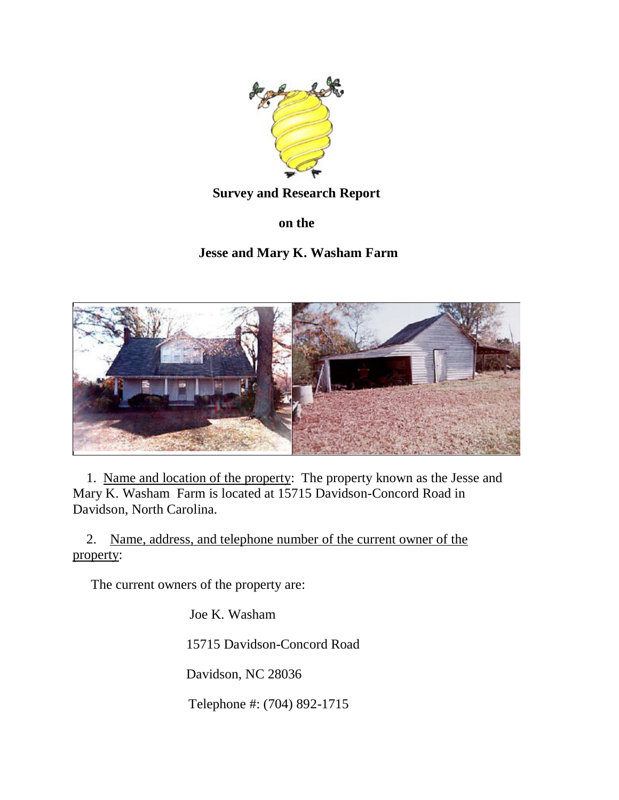

## **Survey and Research Report**

**on the**

# **Jesse and Mary K. Washam Farm**



1. Name and location of the property: The property known as the Jesse and Mary K. Washam Farm is located at 15715 Davidson-Concord Road in Davidson, North Carolina.

2. Name, address, and telephone number of the current owner of the property:

The current owners of the property are:

Joe K. Washam

15715 Davidson-Concord Road

Davidson, NC 28036

Telephone #: (704) 892-1715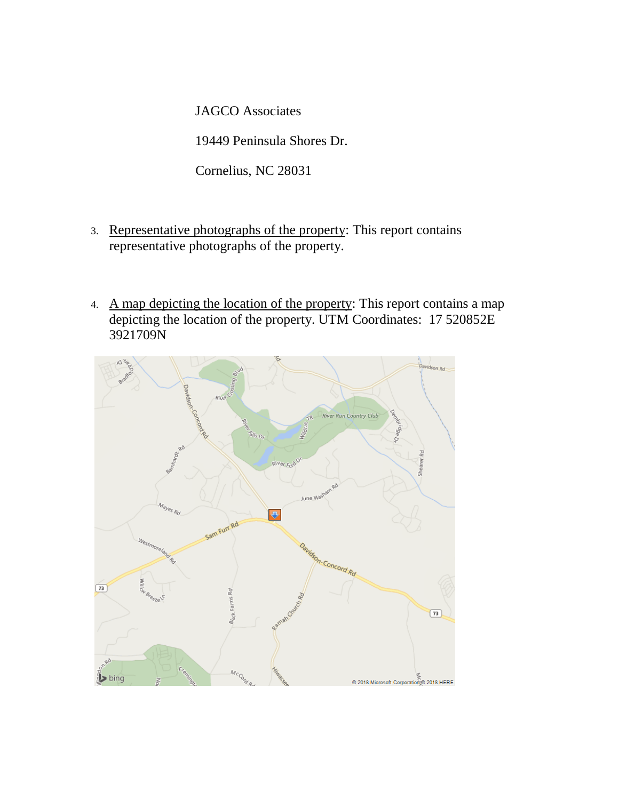JAGCO Associates

19449 Peninsula Shores Dr.

Cornelius, NC 28031

- 3. Representative photographs of the property: This report contains representative photographs of the property.
- 4. A map depicting the location of the property: This report contains a map depicting the location of the property. UTM Coordinates: 17 520852E 3921709N

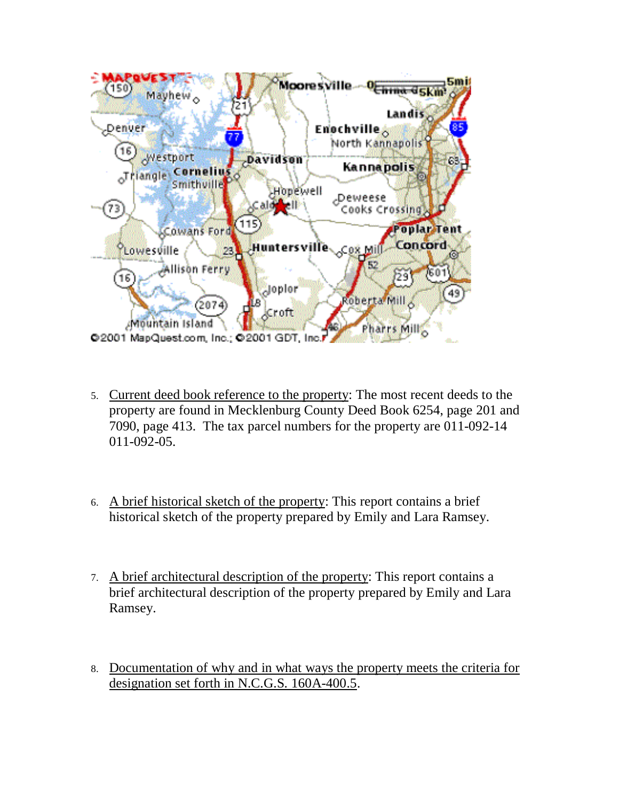

- 5. Current deed book reference to the property: The most recent deeds to the property are found in Mecklenburg County Deed Book 6254, page 201 and 7090, page 413. The tax parcel numbers for the property are 011-092-14 011-092-05.
- 6. A brief historical sketch of the property: This report contains a brief historical sketch of the property prepared by Emily and Lara Ramsey.
- 7. A brief architectural description of the property: This report contains a brief architectural description of the property prepared by Emily and Lara Ramsey.
- 8. Documentation of why and in what ways the property meets the criteria for designation set forth in N.C.G.S. 160A-400.5.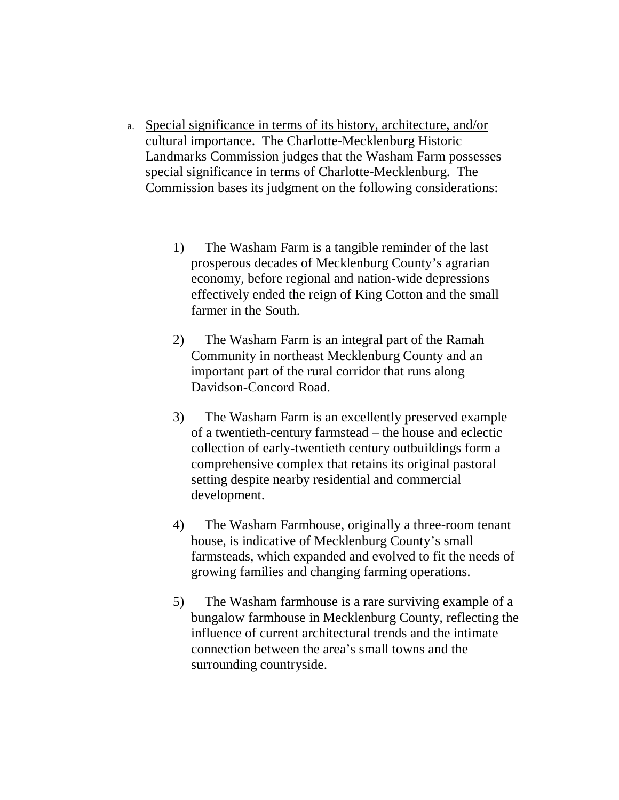- a. Special significance in terms of its history, architecture, and/or cultural importance. The Charlotte-Mecklenburg Historic Landmarks Commission judges that the Washam Farm possesses special significance in terms of Charlotte-Mecklenburg. The Commission bases its judgment on the following considerations:
	- 1) The Washam Farm is a tangible reminder of the last prosperous decades of Mecklenburg County's agrarian economy, before regional and nation-wide depressions effectively ended the reign of King Cotton and the small farmer in the South.
	- 2) The Washam Farm is an integral part of the Ramah Community in northeast Mecklenburg County and an important part of the rural corridor that runs along Davidson-Concord Road.
	- 3) The Washam Farm is an excellently preserved example of a twentieth-century farmstead – the house and eclectic collection of early-twentieth century outbuildings form a comprehensive complex that retains its original pastoral setting despite nearby residential and commercial development.
	- 4) The Washam Farmhouse, originally a three-room tenant house, is indicative of Mecklenburg County's small farmsteads, which expanded and evolved to fit the needs of growing families and changing farming operations.
	- 5) The Washam farmhouse is a rare surviving example of a bungalow farmhouse in Mecklenburg County, reflecting the influence of current architectural trends and the intimate connection between the area's small towns and the surrounding countryside.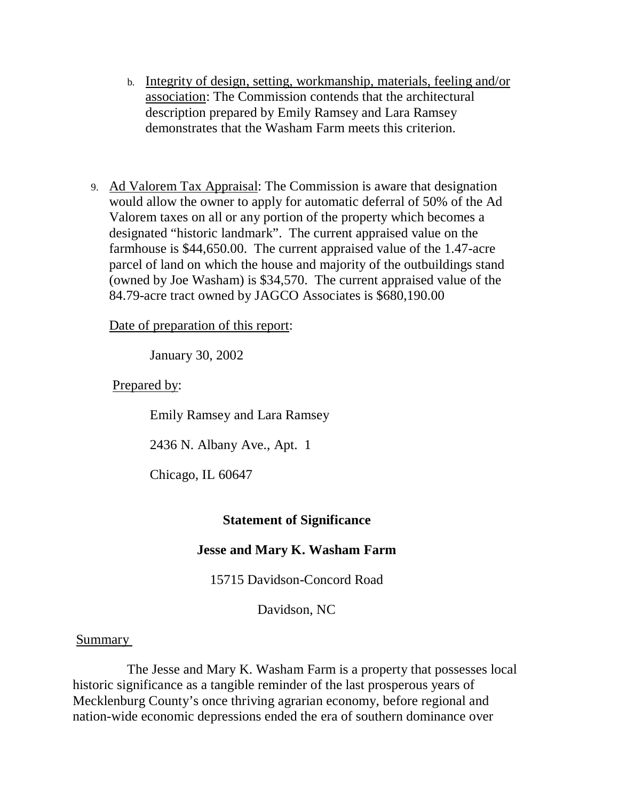- b. Integrity of design, setting, workmanship, materials, feeling and/or association: The Commission contends that the architectural description prepared by Emily Ramsey and Lara Ramsey demonstrates that the Washam Farm meets this criterion.
- 9. Ad Valorem Tax Appraisal: The Commission is aware that designation would allow the owner to apply for automatic deferral of 50% of the Ad Valorem taxes on all or any portion of the property which becomes a designated "historic landmark". The current appraised value on the farmhouse is \$44,650.00. The current appraised value of the 1.47-acre parcel of land on which the house and majority of the outbuildings stand (owned by Joe Washam) is \$34,570. The current appraised value of the 84.79-acre tract owned by JAGCO Associates is \$680,190.00

Date of preparation of this report:

January 30, 2002

Prepared by:

Emily Ramsey and Lara Ramsey

2436 N. Albany Ave., Apt. 1

Chicago, IL 60647

## **Statement of Significance**

## **Jesse and Mary K. Washam Farm**

15715 Davidson-Concord Road

Davidson, NC

## Summary

 The Jesse and Mary K. Washam Farm is a property that possesses local historic significance as a tangible reminder of the last prosperous years of Mecklenburg County's once thriving agrarian economy, before regional and nation-wide economic depressions ended the era of southern dominance over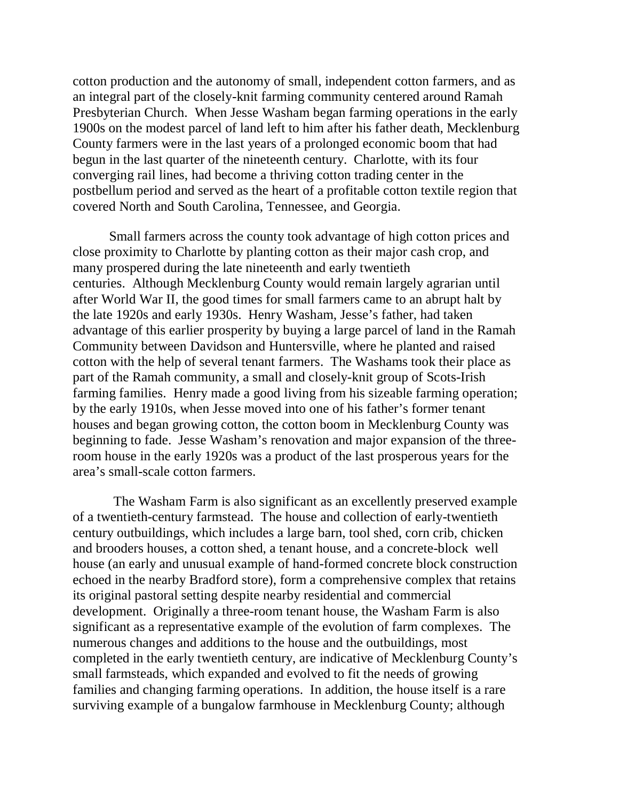cotton production and the autonomy of small, independent cotton farmers, and as an integral part of the closely-knit farming community centered around Ramah Presbyterian Church. When Jesse Washam began farming operations in the early 1900s on the modest parcel of land left to him after his father death, Mecklenburg County farmers were in the last years of a prolonged economic boom that had begun in the last quarter of the nineteenth century. Charlotte, with its four converging rail lines, had become a thriving cotton trading center in the postbellum period and served as the heart of a profitable cotton textile region that covered North and South Carolina, Tennessee, and Georgia.

Small farmers across the county took advantage of high cotton prices and close proximity to Charlotte by planting cotton as their major cash crop, and many prospered during the late nineteenth and early twentieth centuries. Although Mecklenburg County would remain largely agrarian until after World War II, the good times for small farmers came to an abrupt halt by the late 1920s and early 1930s. Henry Washam, Jesse's father, had taken advantage of this earlier prosperity by buying a large parcel of land in the Ramah Community between Davidson and Huntersville, where he planted and raised cotton with the help of several tenant farmers. The Washams took their place as part of the Ramah community, a small and closely-knit group of Scots-Irish farming families. Henry made a good living from his sizeable farming operation; by the early 1910s, when Jesse moved into one of his father's former tenant houses and began growing cotton, the cotton boom in Mecklenburg County was beginning to fade. Jesse Washam's renovation and major expansion of the threeroom house in the early 1920s was a product of the last prosperous years for the area's small-scale cotton farmers.

 The Washam Farm is also significant as an excellently preserved example of a twentieth-century farmstead. The house and collection of early-twentieth century outbuildings, which includes a large barn, tool shed, corn crib, chicken and brooders houses, a cotton shed, a tenant house, and a concrete-block well house (an early and unusual example of hand-formed concrete block construction echoed in the nearby Bradford store), form a comprehensive complex that retains its original pastoral setting despite nearby residential and commercial development. Originally a three-room tenant house, the Washam Farm is also significant as a representative example of the evolution of farm complexes. The numerous changes and additions to the house and the outbuildings, most completed in the early twentieth century, are indicative of Mecklenburg County's small farmsteads, which expanded and evolved to fit the needs of growing families and changing farming operations. In addition, the house itself is a rare surviving example of a bungalow farmhouse in Mecklenburg County; although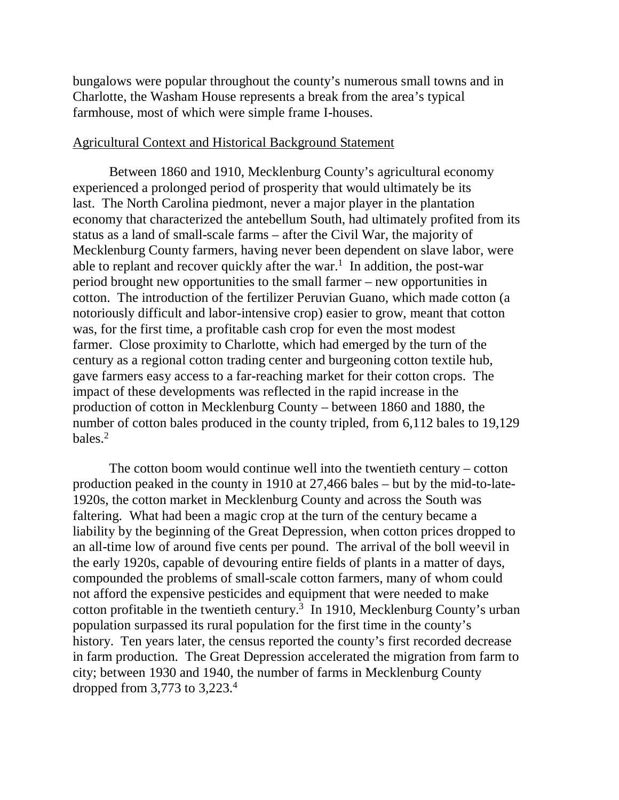bungalows were popular throughout the county's numerous small towns and in Charlotte, the Washam House represents a break from the area's typical farmhouse, most of which were simple frame I-houses.

#### Agricultural Context and Historical Background Statement

Between 1860 and 1910, Mecklenburg County's agricultural economy experienced a prolonged period of prosperity that would ultimately be its last. The North Carolina piedmont, never a major player in the plantation economy that characterized the antebellum South, had ultimately profited from its status as a land of small-scale farms – after the Civil War, the majority of Mecklenburg County farmers, having never been dependent on slave labor, were able to replant and recover quickly after the war.<sup>1</sup> In addition, the post-war period brought new opportunities to the small farmer – new opportunities in cotton. The introduction of the fertilizer Peruvian Guano, which made cotton (a notoriously difficult and labor-intensive crop) easier to grow, meant that cotton was, for the first time, a profitable cash crop for even the most modest farmer. Close proximity to Charlotte, which had emerged by the turn of the century as a regional cotton trading center and burgeoning cotton textile hub, gave farmers easy access to a far-reaching market for their cotton crops. The impact of these developments was reflected in the rapid increase in the production of cotton in Mecklenburg County – between 1860 and 1880, the number of cotton bales produced in the county tripled, from 6,112 bales to 19,129 bales.2

The cotton boom would continue well into the twentieth century – cotton production peaked in the county in 1910 at 27,466 bales – but by the mid-to-late-1920s, the cotton market in Mecklenburg County and across the South was faltering. What had been a magic crop at the turn of the century became a liability by the beginning of the Great Depression, when cotton prices dropped to an all-time low of around five cents per pound. The arrival of the boll weevil in the early 1920s, capable of devouring entire fields of plants in a matter of days, compounded the problems of small-scale cotton farmers, many of whom could not afford the expensive pesticides and equipment that were needed to make cotton profitable in the twentieth century.3 In 1910, Mecklenburg County's urban population surpassed its rural population for the first time in the county's history. Ten years later, the census reported the county's first recorded decrease in farm production. The Great Depression accelerated the migration from farm to city; between 1930 and 1940, the number of farms in Mecklenburg County dropped from 3,773 to 3,223.4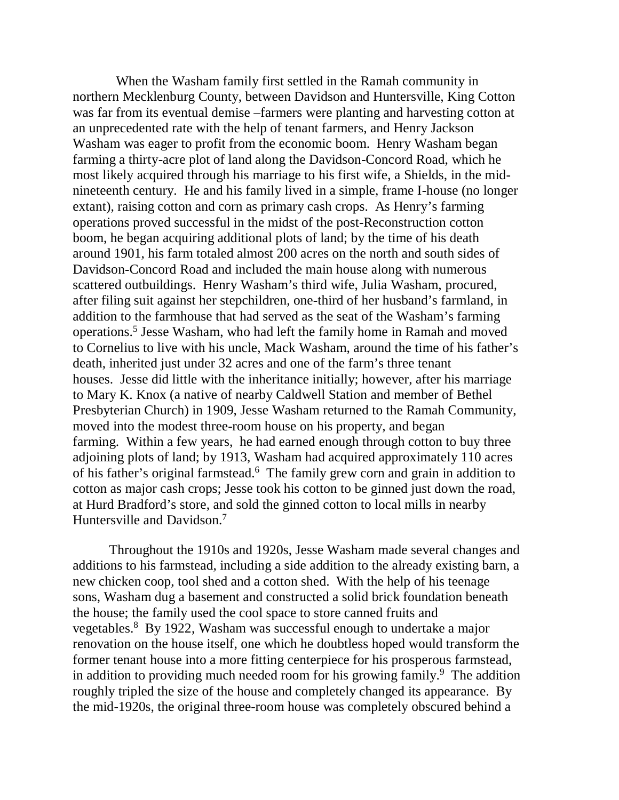When the Washam family first settled in the Ramah community in northern Mecklenburg County, between Davidson and Huntersville, King Cotton was far from its eventual demise –farmers were planting and harvesting cotton at an unprecedented rate with the help of tenant farmers, and Henry Jackson Washam was eager to profit from the economic boom. Henry Washam began farming a thirty-acre plot of land along the Davidson-Concord Road, which he most likely acquired through his marriage to his first wife, a Shields, in the midnineteenth century. He and his family lived in a simple, frame I-house (no longer extant), raising cotton and corn as primary cash crops. As Henry's farming operations proved successful in the midst of the post-Reconstruction cotton boom, he began acquiring additional plots of land; by the time of his death around 1901, his farm totaled almost 200 acres on the north and south sides of Davidson-Concord Road and included the main house along with numerous scattered outbuildings. Henry Washam's third wife, Julia Washam, procured, after filing suit against her stepchildren, one-third of her husband's farmland, in addition to the farmhouse that had served as the seat of the Washam's farming operations.5 Jesse Washam, who had left the family home in Ramah and moved to Cornelius to live with his uncle, Mack Washam, around the time of his father's death, inherited just under 32 acres and one of the farm's three tenant houses. Jesse did little with the inheritance initially; however, after his marriage to Mary K. Knox (a native of nearby Caldwell Station and member of Bethel Presbyterian Church) in 1909, Jesse Washam returned to the Ramah Community, moved into the modest three-room house on his property, and began farming. Within a few years, he had earned enough through cotton to buy three adjoining plots of land; by 1913, Washam had acquired approximately 110 acres of his father's original farmstead.6 The family grew corn and grain in addition to cotton as major cash crops; Jesse took his cotton to be ginned just down the road, at Hurd Bradford's store, and sold the ginned cotton to local mills in nearby Huntersville and Davidson.<sup>7</sup>

Throughout the 1910s and 1920s, Jesse Washam made several changes and additions to his farmstead, including a side addition to the already existing barn, a new chicken coop, tool shed and a cotton shed. With the help of his teenage sons, Washam dug a basement and constructed a solid brick foundation beneath the house; the family used the cool space to store canned fruits and vegetables.8 By 1922, Washam was successful enough to undertake a major renovation on the house itself, one which he doubtless hoped would transform the former tenant house into a more fitting centerpiece for his prosperous farmstead, in addition to providing much needed room for his growing family.<sup>9</sup> The addition roughly tripled the size of the house and completely changed its appearance. By the mid-1920s, the original three-room house was completely obscured behind a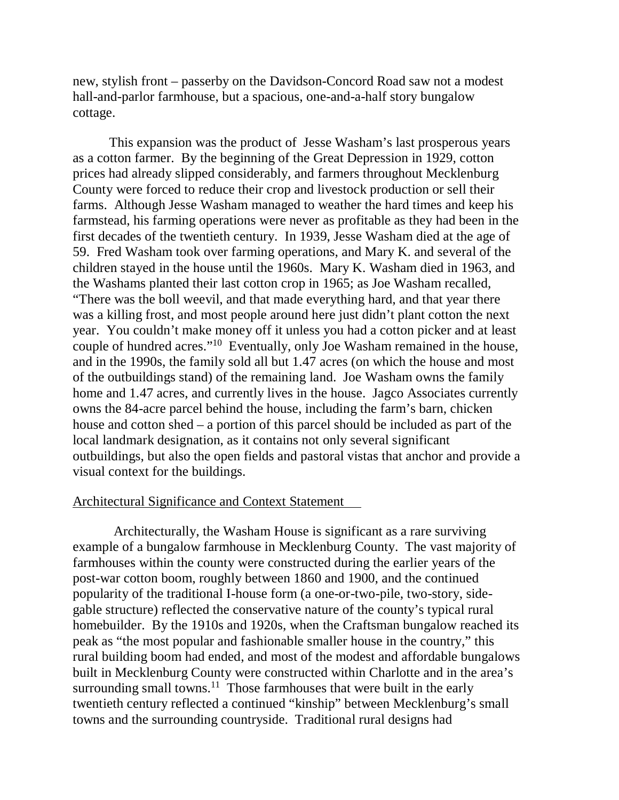new, stylish front – passerby on the Davidson-Concord Road saw not a modest hall-and-parlor farmhouse, but a spacious, one-and-a-half story bungalow cottage.

This expansion was the product of Jesse Washam's last prosperous years as a cotton farmer. By the beginning of the Great Depression in 1929, cotton prices had already slipped considerably, and farmers throughout Mecklenburg County were forced to reduce their crop and livestock production or sell their farms. Although Jesse Washam managed to weather the hard times and keep his farmstead, his farming operations were never as profitable as they had been in the first decades of the twentieth century. In 1939, Jesse Washam died at the age of 59. Fred Washam took over farming operations, and Mary K. and several of the children stayed in the house until the 1960s. Mary K. Washam died in 1963, and the Washams planted their last cotton crop in 1965; as Joe Washam recalled, "There was the boll weevil, and that made everything hard, and that year there was a killing frost, and most people around here just didn't plant cotton the next year. You couldn't make money off it unless you had a cotton picker and at least couple of hundred acres."10 Eventually, only Joe Washam remained in the house, and in the 1990s, the family sold all but 1.47 acres (on which the house and most of the outbuildings stand) of the remaining land. Joe Washam owns the family home and 1.47 acres, and currently lives in the house. Jagco Associates currently owns the 84-acre parcel behind the house, including the farm's barn, chicken house and cotton shed – a portion of this parcel should be included as part of the local landmark designation, as it contains not only several significant outbuildings, but also the open fields and pastoral vistas that anchor and provide a visual context for the buildings.

### Architectural Significance and Context Statement

 Architecturally, the Washam House is significant as a rare surviving example of a bungalow farmhouse in Mecklenburg County. The vast majority of farmhouses within the county were constructed during the earlier years of the post-war cotton boom, roughly between 1860 and 1900, and the continued popularity of the traditional I-house form (a one-or-two-pile, two-story, sidegable structure) reflected the conservative nature of the county's typical rural homebuilder. By the 1910s and 1920s, when the Craftsman bungalow reached its peak as "the most popular and fashionable smaller house in the country," this rural building boom had ended, and most of the modest and affordable bungalows built in Mecklenburg County were constructed within Charlotte and in the area's surrounding small towns.<sup>11</sup> Those farmhouses that were built in the early twentieth century reflected a continued "kinship" between Mecklenburg's small towns and the surrounding countryside. Traditional rural designs had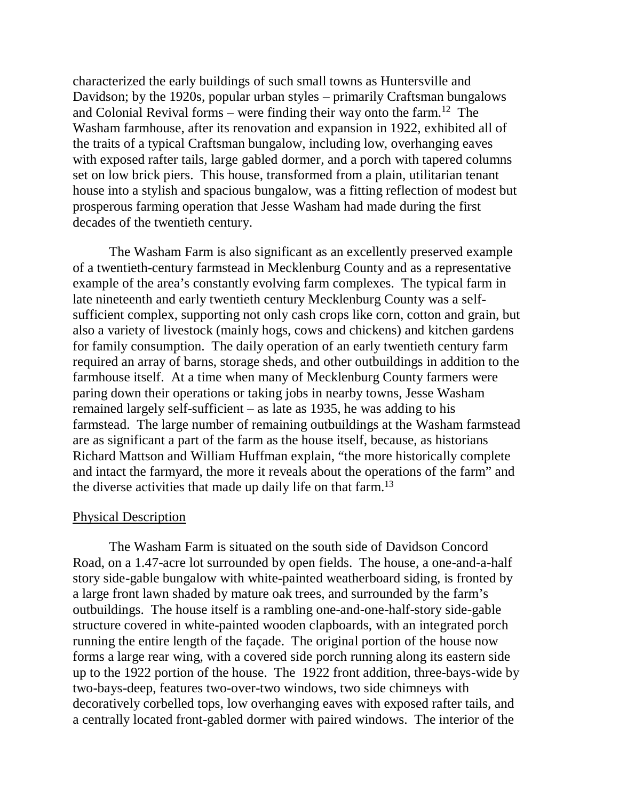characterized the early buildings of such small towns as Huntersville and Davidson; by the 1920s, popular urban styles – primarily Craftsman bungalows and Colonial Revival forms – were finding their way onto the farm.<sup>12</sup> The Washam farmhouse, after its renovation and expansion in 1922, exhibited all of the traits of a typical Craftsman bungalow, including low, overhanging eaves with exposed rafter tails, large gabled dormer, and a porch with tapered columns set on low brick piers. This house, transformed from a plain, utilitarian tenant house into a stylish and spacious bungalow, was a fitting reflection of modest but prosperous farming operation that Jesse Washam had made during the first decades of the twentieth century.

The Washam Farm is also significant as an excellently preserved example of a twentieth-century farmstead in Mecklenburg County and as a representative example of the area's constantly evolving farm complexes. The typical farm in late nineteenth and early twentieth century Mecklenburg County was a selfsufficient complex, supporting not only cash crops like corn, cotton and grain, but also a variety of livestock (mainly hogs, cows and chickens) and kitchen gardens for family consumption. The daily operation of an early twentieth century farm required an array of barns, storage sheds, and other outbuildings in addition to the farmhouse itself. At a time when many of Mecklenburg County farmers were paring down their operations or taking jobs in nearby towns, Jesse Washam remained largely self-sufficient – as late as 1935, he was adding to his farmstead. The large number of remaining outbuildings at the Washam farmstead are as significant a part of the farm as the house itself, because, as historians Richard Mattson and William Huffman explain, "the more historically complete and intact the farmyard, the more it reveals about the operations of the farm" and the diverse activities that made up daily life on that farm.<sup>13</sup>

### Physical Description

The Washam Farm is situated on the south side of Davidson Concord Road, on a 1.47-acre lot surrounded by open fields. The house, a one-and-a-half story side-gable bungalow with white-painted weatherboard siding, is fronted by a large front lawn shaded by mature oak trees, and surrounded by the farm's outbuildings. The house itself is a rambling one-and-one-half-story side-gable structure covered in white-painted wooden clapboards, with an integrated porch running the entire length of the façade. The original portion of the house now forms a large rear wing, with a covered side porch running along its eastern side up to the 1922 portion of the house. The 1922 front addition, three-bays-wide by two-bays-deep, features two-over-two windows, two side chimneys with decoratively corbelled tops, low overhanging eaves with exposed rafter tails, and a centrally located front-gabled dormer with paired windows. The interior of the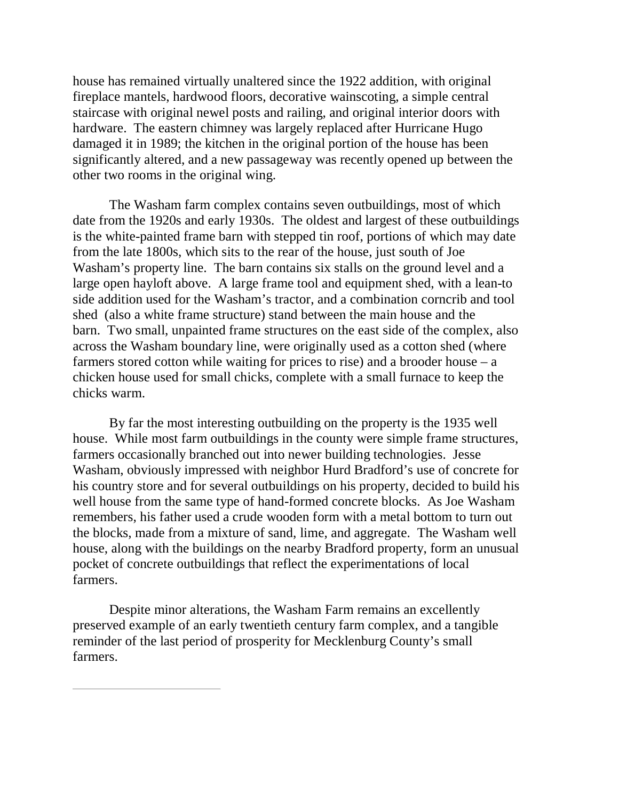house has remained virtually unaltered since the 1922 addition, with original fireplace mantels, hardwood floors, decorative wainscoting, a simple central staircase with original newel posts and railing, and original interior doors with hardware. The eastern chimney was largely replaced after Hurricane Hugo damaged it in 1989; the kitchen in the original portion of the house has been significantly altered, and a new passageway was recently opened up between the other two rooms in the original wing.

The Washam farm complex contains seven outbuildings, most of which date from the 1920s and early 1930s. The oldest and largest of these outbuildings is the white-painted frame barn with stepped tin roof, portions of which may date from the late 1800s, which sits to the rear of the house, just south of Joe Washam's property line. The barn contains six stalls on the ground level and a large open hayloft above. A large frame tool and equipment shed, with a lean-to side addition used for the Washam's tractor, and a combination corncrib and tool shed (also a white frame structure) stand between the main house and the barn. Two small, unpainted frame structures on the east side of the complex, also across the Washam boundary line, were originally used as a cotton shed (where farmers stored cotton while waiting for prices to rise) and a brooder house  $-$  a chicken house used for small chicks, complete with a small furnace to keep the chicks warm.

By far the most interesting outbuilding on the property is the 1935 well house. While most farm outbuildings in the county were simple frame structures, farmers occasionally branched out into newer building technologies. Jesse Washam, obviously impressed with neighbor Hurd Bradford's use of concrete for his country store and for several outbuildings on his property, decided to build his well house from the same type of hand-formed concrete blocks. As Joe Washam remembers, his father used a crude wooden form with a metal bottom to turn out the blocks, made from a mixture of sand, lime, and aggregate. The Washam well house, along with the buildings on the nearby Bradford property, form an unusual pocket of concrete outbuildings that reflect the experimentations of local farmers.

Despite minor alterations, the Washam Farm remains an excellently preserved example of an early twentieth century farm complex, and a tangible reminder of the last period of prosperity for Mecklenburg County's small farmers.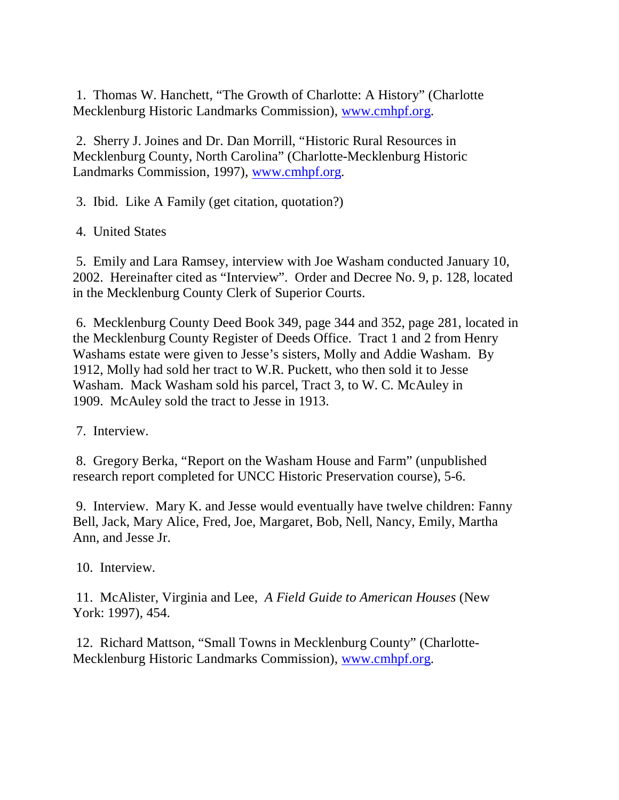1. Thomas W. Hanchett, "The Growth of Charlotte: A History" (Charlotte Mecklenburg Historic Landmarks Commission), www.cmhpf.org.

2. Sherry J. Joines and Dr. Dan Morrill, "Historic Rural Resources in Mecklenburg County, North Carolina" (Charlotte-Mecklenburg Historic Landmarks Commission, 1997), www.cmhpf.org.

3. Ibid. Like A Family (get citation, quotation?)

4. United States

5. Emily and Lara Ramsey, interview with Joe Washam conducted January 10, 2002. Hereinafter cited as "Interview". Order and Decree No. 9, p. 128, located in the Mecklenburg County Clerk of Superior Courts.

6. Mecklenburg County Deed Book 349, page 344 and 352, page 281, located in the Mecklenburg County Register of Deeds Office. Tract 1 and 2 from Henry Washams estate were given to Jesse's sisters, Molly and Addie Washam. By 1912, Molly had sold her tract to W.R. Puckett, who then sold it to Jesse Washam. Mack Washam sold his parcel, Tract 3, to W. C. McAuley in 1909. McAuley sold the tract to Jesse in 1913.

7. Interview.

8. Gregory Berka, "Report on the Washam House and Farm" (unpublished research report completed for UNCC Historic Preservation course), 5-6.

9. Interview. Mary K. and Jesse would eventually have twelve children: Fanny Bell, Jack, Mary Alice, Fred, Joe, Margaret, Bob, Nell, Nancy, Emily, Martha Ann, and Jesse Jr.

10. Interview.

11. McAlister, Virginia and Lee, *A Field Guide to American Houses* (New York: 1997), 454.

12. Richard Mattson, "Small Towns in Mecklenburg County" (Charlotte-Mecklenburg Historic Landmarks Commission), www.cmhpf.org.